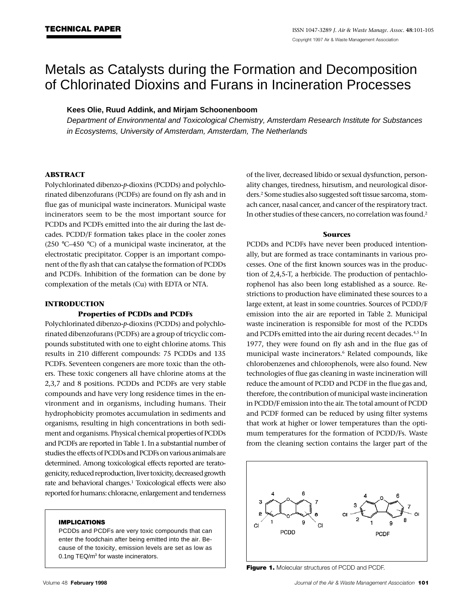# Metals as Catalysts during the Formation and Decomposition of Chlorinated Dioxins and Furans in Incineration Processes

# **Kees Olie, Ruud Addink, and Mirjam Schoonenboom**

*Department of Environmental and Toxicological Chemistry, Amsterdam Research Institute for Substances in Ecosystems, University of Amsterdam, Amsterdam, The Netherlands*

## **ABSTRACT**

Polychlorinated dibenzo-*p*-dioxins (PCDDs) and polychlorinated dibenzofurans (PCDFs) are found on fly ash and in flue gas of municipal waste incinerators. Municipal waste incinerators seem to be the most important source for PCDDs and PCDFs emitted into the air during the last decades. PCDD/F formation takes place in the cooler zones (250 °C–450 °C) of a municipal waste incinerator, at the electrostatic precipitator. Copper is an important component of the fly ash that can catalyse the formation of PCDDs and PCDFs. Inhibition of the formation can be done by complexation of the metals (Cu) with EDTA or NTA.

## **INTRODUCTION**

### **Properties of PCDDs and PCDFs**

Polychlorinated dibenzo-*p*-dioxins (PCDDs) and polychlorinated dibenzofurans (PCDFs) are a group of tricyclic compounds substituted with one to eight chlorine atoms. This results in 210 different compounds: 75 PCDDs and 135 PCDFs. Seventeen congeners are more toxic than the others. These toxic congeners all have chlorine atoms at the 2,3,7 and 8 positions. PCDDs and PCDFs are very stable compounds and have very long residence times in the environment and in organisms, including humans. Their hydrophobicity promotes accumulation in sediments and organisms, resulting in high concentrations in both sediment and organisms. Physical chemical properties of PCDDs and PCDFs are reported in Table 1. In a substantial number of studies the effects of PCDDs and PCDFs on various animals are determined. Among toxicological effects reported are teratogenicity, reduced reproduction, liver toxicity, decreased growth rate and behavioral changes.<sup>1</sup> Toxicological effects were also reported for humans: chloracne, enlargement and tenderness

### **IMPLICATIONS**

PCDDs and PCDFs are very toxic compounds that can enter the foodchain after being emitted into the air. Because of the toxicity, emission levels are set as low as 0.1ng TEQ/m<sup>3</sup> for waste incinerators.

of the liver, decreased libido or sexual dysfunction, personality changes, tiredness, hirsutism, and neurological disorders.<sup>2</sup> Some studies also suggested soft tissue sarcoma, stomach cancer, nasal cancer, and cancer of the respiratory tract. In other studies of these cancers, no correlation was found.<sup>2</sup>

#### **Sources**

PCDDs and PCDFs have never been produced intentionally, but are formed as trace contaminants in various processes. One of the first known sources was in the production of 2,4,5-T, a herbicide. The production of pentachlorophenol has also been long established as a source. Restrictions to production have eliminated these sources to a large extent, at least in some countries. Sources of PCDD/F emission into the air are reported in Table 2. Municipal waste incineration is responsible for most of the PCDDs and PCDFs emitted into the air during recent decades.<sup>4,5</sup> In 1977, they were found on fly ash and in the flue gas of municipal waste incinerators.<sup>6</sup> Related compounds, like chlorobenzenes and chlorophenols, were also found. New technologies of flue gas cleaning in waste incineration will reduce the amount of PCDD and PCDF in the flue gas and, therefore, the contribution of municipal waste incineration in PCDD/F emission into the air. The total amount of PCDD and PCDF formed can be reduced by using filter systems that work at higher or lower temperatures than the optimum temperatures for the formation of PCDD/Fs. Waste from the cleaning section contains the larger part of the



**Figure 1.** Molecular structures of PCDD and PCDF.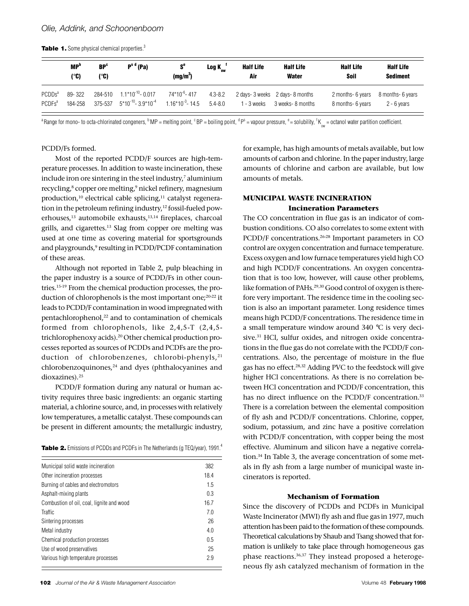|  |  |  |  | Table 1. Some physical chemical properties. <sup>3</sup> |
|--|--|--|--|----------------------------------------------------------|
|--|--|--|--|----------------------------------------------------------|

|                    | <b>MP</b> <sup>b</sup><br>(°C) | BP <sup>c</sup><br>l. C) | $Ps d$ (Pa)                | $S^e$<br>(mg/m <sup>3</sup> ) | Log $K_{\omega}$ <sup>1</sup> | <b>Half Life</b><br>Air | <b>Half Life</b><br>Water      | <b>Half Life</b><br>Soil | <b>Half Life</b><br><b>Sediment</b> |
|--------------------|--------------------------------|--------------------------|----------------------------|-------------------------------|-------------------------------|-------------------------|--------------------------------|--------------------------|-------------------------------------|
| PCDDs <sup>a</sup> | 89-322                         | 284-510                  | $1.1*10^{-10}$ - 0.017     | $74*10^{-6}$ -417             | $4.3 - 8.2$                   | - 3 weeks               | 2 days-3 weeks 2 days-8 months | 2 months- 6 years        | 8 months- 6 years                   |
| PCDFs <sup>a</sup> | 184-258                        | 375-537                  | $5*10^{-10} - 3.9*10^{-4}$ | $1.16*10^{-3} - 14.5$         | $54 - 80$                     |                         | 3 weeks- 8 months              | 8 months- 6 years        | $2 - 6$ vears                       |

 $^{\rm a}$ Range for mono- to octa-chlorinated congeners,  $^{\rm b}$  MP = melting point,  $^{\rm c}$  BP = boiling point,  $^{\rm d}$  P $^{\rm s}$  = vapour pressure,  $^{\rm e}$  = solubility,  $^{\rm f}$  K  $_{\rm_ow}$  = octanol water partition coeffici

#### PCDD/Fs formed.

Most of the reported PCDD/F sources are high-temperature processes. In addition to waste incineration, these include iron ore sintering in the steel industry, $^7$  aluminium recycling,<sup>8</sup> copper ore melting,<sup>9</sup> nickel refinery, magnesium production,<sup>10</sup> electrical cable splicing,<sup>11</sup> catalyst regeneration in the petroleum refining industry,<sup>12</sup> fossil-fueled powerhouses,<sup>13</sup> automobile exhausts,13,14 fireplaces, charcoal grills, and cigarettes.<sup>13</sup> Slag from copper ore melting was used at one time as covering material for sportsgrounds and playgrounds,<sup>9</sup> resulting in PCDD/PCDF contamination of these areas.

Although not reported in Table 2, pulp bleaching in the paper industry is a source of PCDD/Fs in other countries.15-19 From the chemical production processes, the production of chlorophenols is the most important one;20-22 it leads to PCDD/F contamination in wood impregnated with pentachlorophenol,<sup>22</sup> and to contamination of chemicals formed from chlorophenols, like 2,4,5-T (2,4,5 trichlorophenoxy acids).20 Other chemical production processes reported as sources of PCDDs and PCDFs are the production of chlorobenzenes, chlorobi-phenyls,<sup>21</sup>  $chlorobenzoguinones<sup>24</sup>$  and dyes (phthalocyanines and dioxazines).<sup>25</sup>

PCDD/F formation during any natural or human activity requires three basic ingredients: an organic starting material, a chlorine source, and, in processes with relatively low temperatures, a metallic catalyst. These compounds can be present in different amounts; the metallurgic industry,

| <b>Table 2.</b> Emissions of PCDDs and PCDFs in The Netherlands (g TEQ/year), 1991. <sup>4</sup> |  |
|--------------------------------------------------------------------------------------------------|--|
|--------------------------------------------------------------------------------------------------|--|

| Municipal solid waste incineration        | 382  |
|-------------------------------------------|------|
| Other incineration processes              | 18.4 |
| Burning of cables and electromotors       | 1.5  |
| Asphalt-mixing plants                     | 0.3  |
| Combustion of oil, coal, lignite and wood | 16.7 |
| <b>Traffic</b>                            | 70   |
| Sintering processes                       | 26   |
| Metal industry                            | 4.0  |
| Chemical production processes             | 0.5  |
| Use of wood preservatives                 | 25   |
| Various high temperature processes        | 2.9  |
|                                           |      |

for example, has high amounts of metals available, but low amounts of carbon and chlorine. In the paper industry, large amounts of chlorine and carbon are available, but low amounts of metals.

# **MUNICIPAL WASTE INCINERATION Incineration Parameters**

The CO concentration in flue gas is an indicator of combustion conditions. CO also correlates to some extent with PCDD/F concentrations.26-28 Important parameters in CO control are oxygen concentration and furnace temperature. Excess oxygen and low furnace temperatures yield high CO and high PCDD/F concentrations. An oxygen concentration that is too low, however, will cause other problems, like formation of PAHs.<sup>29,30</sup> Good control of oxygen is therefore very important. The residence time in the cooling section is also an important parameter. Long residence times means high PCDD/F concentrations. The residence time in a small temperature window around 340 °C is very decisive.<sup>31</sup> HCl, sulfur oxides, and nitrogen oxide concentrations in the flue gas do not correlate with the PCDD/F concentrations. Also, the percentage of moisture in the flue gas has no effect.28,32 Adding PVC to the feedstock will give higher HCl concentrations. As there is no correlation between HCl concentration and PCDD/F concentration, this has no direct influence on the PCDD/F concentration.<sup>33</sup> There is a correlation between the elemental composition of fly ash and PCDD/F concentrations. Chlorine, copper, sodium, potassium, and zinc have a positive correlation with PCDD/F concentration, with copper being the most effective. Aluminum and silicon have a negative correlation.34 In Table 3, the average concentration of some metals in fly ash from a large number of municipal waste incinerators is reported.

#### **Mechanism of Formation**

Since the discovery of PCDDs and PCDFs in Municipal Waste Incinerator (MWI) fly ash and flue gas in 1977, much attention has been paid to the formation of these compounds. Theoretical calculations by Shaub and Tsang showed that formation is unlikely to take place through homogeneous gas phase reactions.36,37 They instead proposed a heterogeneous fly ash catalyzed mechanism of formation in the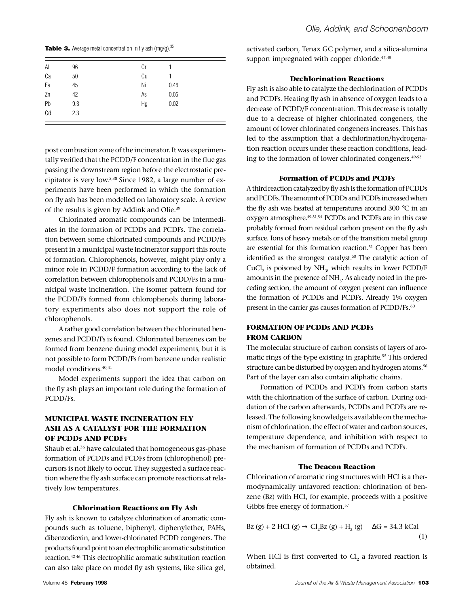**Table 3.** Average metal concentration in fly ash (mg/g).<sup>35</sup>

| Al | 96  | Сr |      |  |
|----|-----|----|------|--|
| Ca | 50  | Cu |      |  |
| Fe | 45  | Ni | 0.46 |  |
| Zn | 42  | As | 0.05 |  |
| Pb | 9.3 | Hg | 0.02 |  |
| Cd | 2.3 |    |      |  |
|    |     |    |      |  |

post combustion zone of the incinerator. It was experimentally verified that the PCDD/F concentration in the flue gas passing the downstream region before the electrostatic precipitator is very low.5,38 Since 1982, a large number of experiments have been performed in which the formation on fly ash has been modelled on laboratory scale. A review of the results is given by Addink and Olie.<sup>39</sup>

Chlorinated aromatic compounds can be intermediates in the formation of PCDDs and PCDFs. The correlation between some chlorinated compounds and PCDD/Fs present in a municipal waste incinerator support this route of formation. Chlorophenols, however, might play only a minor role in PCDD/F formation according to the lack of correlation between chlorophenols and PCDD/Fs in a municipal waste incineration. The isomer pattern found for the PCDD/Fs formed from chlorophenols during laboratory experiments also does not support the role of chlorophenols.

A rather good correlation between the chlorinated benzenes and PCDD/Fs is found. Chlorinated benzenes can be formed from benzene during model experiments, but it is not possible to form PCDD/Fs from benzene under realistic model conditions.40,41

Model experiments support the idea that carbon on the fly ash plays an important role during the formation of PCDD/Fs.

# **MUNICIPAL WASTE INCINERATION FLY ASH AS A CATALYST FOR THE FORMATION OF PCDDs AND PCDFs**

Shaub et al.<sup>36</sup> have calculated that homogeneous gas-phase formation of PCDDs and PCDFs from (chlorophenol) precursors is not likely to occur. They suggested a surface reaction where the fly ash surface can promote reactions at relatively low temperatures.

#### **Chlorination Reactions on Fly Ash**

Fly ash is known to catalyze chlorination of aromatic compounds such as toluene, biphenyl, diphenylether, PAHs, dibenzodioxin, and lower-chlorinated PCDD congeners. The products found point to an electrophilic aromatic substitution reaction.42-46 This electrophilic aromatic substitution reaction can also take place on model fly ash systems, like silica gel, activated carbon, Tenax GC polymer, and a silica-alumina support impregnated with copper chloride.<sup>47,48</sup>

#### **Dechlorination Reactions**

Fly ash is also able to catalyze the dechlorination of PCDDs and PCDFs. Heating fly ash in absence of oxygen leads to a decrease of PCDD/F concentration. This decrease is totally due to a decrease of higher chlorinated congeners, the amount of lower chlorinated congeners increases. This has led to the assumption that a dechlorination/hydrogenation reaction occurs under these reaction conditions, leading to the formation of lower chlorinated congeners.49-53

## **Formation of PCDDs and PCDFs**

A third reaction catalyzed by fly ash is the formation of PCDDs and PCDFs. The amount of PCDDs and PCDFs increased when the fly ash was heated at temperatures around 300 °C in an oxygen atmosphere.49-51,54 PCDDs and PCDFs are in this case probably formed from residual carbon present on the fly ash surface. Ions of heavy metals or of the transition metal group are essential for this formation reaction.<sup>51</sup> Copper has been identified as the strongest catalyst.<sup>50</sup> The catalytic action of CuCl<sub>2</sub> is poisoned by  $NH_{3}$ , which results in lower PCDD/F amounts in the presence of  $\mathrm{NH}_3$ . As already noted in the preceding section, the amount of oxygen present can influence the formation of PCDDs and PCDFs. Already 1% oxygen present in the carrier gas causes formation of PCDD/Fs.<sup>60</sup>

# **FORMATION OF PCDDs AND PCDFs FROM CARBON**

The molecular structure of carbon consists of layers of aromatic rings of the type existing in graphite.<sup>55</sup> This ordered structure can be disturbed by oxygen and hydrogen atoms.<sup>56</sup> Part of the layer can also contain aliphatic chains.

Formation of PCDDs and PCDFs from carbon starts with the chlorination of the surface of carbon. During oxidation of the carbon afterwards, PCDDs and PCDFs are released. The following knowledge is available on the mechanism of chlorination, the effect of water and carbon sources, temperature dependence, and inhibition with respect to the mechanism of formation of PCDDs and PCDFs.

## **The Deacon Reaction**

Chlorination of aromatic ring structures with HCl is a thermodynamically unfavored reaction: chlorination of benzene (Bz) with HCl, for example, proceeds with a positive Gibbs free energy of formation.<sup>57</sup>

$$
Bz (g) + 2 \text{ HCl} (g) \qquad Cl_2 Bz (g) + H_2(g) \qquad G = 34.3 \text{ kCal}
$$
\n(1)

When HCl is first converted to  $\text{\rm Cl}_2$  a favored reaction is obtained.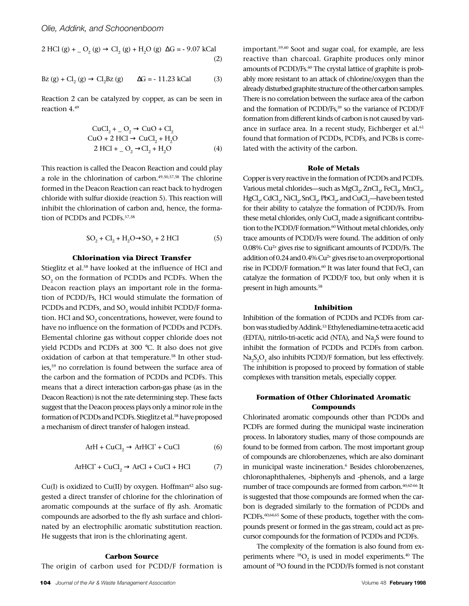2 HCl (g) + 
$$
_0
$$
 (g)  $Cl_2$  (g) + H<sub>2</sub>O (g)  $G = -9.07$  kCal (2)

$$
Bz (g) + Cl_2(g) \qquad Cl_2Bz (g) \qquad G = -11.23 \text{ kCal} \tag{3}
$$

Reaction 2 can be catalyzed by copper, as can be seen in reaction 4.<sup>49</sup>

CuCl<sub>2</sub> + 
$$
O_2
$$
 CuO + Cl<sub>2</sub>  
CuO + 2 HCl CuCl<sub>2</sub> + H<sub>2</sub>O  
2 HCl +  $O_2$  Cl<sub>2</sub> + H<sub>2</sub>O (4)

This reaction is called the Deacon Reaction and could play a role in the chlorination of carbon.49,50,57,58 The chlorine formed in the Deacon Reaction can react back to hydrogen chloride with sulfur dioxide (reaction 5). This reaction will inhibit the chlorination of carbon and, hence, the formation of PCDDs and PCDFs.57,58

$$
SO_2 + Cl_2 + H_2O
$$
  $SO_3 + 2 HCl$  (5)

#### **Chlorination via Direct Transfer**

Stieglitz et al.<sup>58</sup> have looked at the influence of HCl and  $\mathrm{SO}_2$  on the formation of PCDDs and PCDFs. When the Deacon reaction plays an important role in the formation of PCDD/Fs, HCl would stimulate the formation of PCDDs and PCDFs, and SO $_{\textrm{\tiny{2}}}$  would inhibit PCDD/F formation. HCl and SO $_{\textrm{\tiny{2}}}$  concentrations, however, were found to have no influence on the formation of PCDDs and PCDFs. Elemental chlorine gas without copper chloride does not yield PCDDs and PCDFs at 300 °C. It also does not give oxidation of carbon at that temperature.<sup>58</sup> In other studies,<sup>59</sup> no correlation is found between the surface area of the carbon and the formation of PCDDs and PCDFs. This means that a direct interaction carbon-gas phase (as in the Deacon Reaction) is not the rate determining step. These facts suggest that the Deacon process plays only a minor role in the formation of PCDDs and PCDFs. Stieglitz et al.<sup>58</sup> have proposed a mechanism of direct transfer of halogen instead.

$$
ArH + CuCl2 ArHCl* + CuCl
$$
 (6)

$$
ArHCl^* + CuCl_2 \quad ArCl + CuCl + HCl \tag{7}
$$

 $Cu(I)$  is oxidized to  $Cu(II)$  by oxygen. Hoffman<sup>42</sup> also suggested a direct transfer of chlorine for the chlorination of aromatic compounds at the surface of fly ash. Aromatic compounds are adsorbed to the fly ash surface and chlorinated by an electrophilic aromatic substitution reaction. He suggests that iron is the chlorinating agent.

# **Carbon Source**

The origin of carbon used for PCDD/F formation is

**104** *Journal of the Air & Waste Management Association* Volume 48 **February 1998**

important.59,60 Soot and sugar coal, for example, are less reactive than charcoal. Graphite produces only minor amounts of PCDD/Fs.<sup>60</sup> The crystal lattice of graphite is probably more resistant to an attack of chlorine/oxygen than the already disturbed graphite structure of the other carbon samples. There is no correlation between the surface area of the carbon and the formation of PCDD/Fs,<sup>59</sup> so the variance of PCDD/F formation from different kinds of carbon is not caused by variance in surface area. In a recent study, Eichberger et al.<sup>61</sup> found that formation of PCDDs, PCDFs, and PCBs is correlated with the activity of the carbon.

## **Role of Metals**

Copper is very reactive in the formation of PCDDs and PCDFs. Various metal chlorides—such as  $\mathrm{MgCl}_{2'}$  ZnCl $_{2'}$  FeCl $_{2'}$  MnCl $_{2'}$  $\mathrm{HgCl}_{2'}\mathrm{CdCl}_{2'}\mathrm{NiCl}_{2'}\mathrm{SnCl}_{2'}\mathrm{PbCl}_{2'}$  and  $\mathrm{CuCl}_{2}$ —have been tested for their ability to catalyze the formation of PCDD/Fs. From these metal chlorides, only  $\mathrm{CuCl}_2$  made a significant contribution to the PCDD/F formation.<sup>60</sup> Without metal chlorides, only trace amounts of PCDD/Fs were found. The addition of only 0.08% Cu2+ gives rise to significant amounts of PCDD/Fs. The addition of 0.24 and  $0.4\%$  Cu<sup>2+</sup> gives rise to an overproportional rise in PCDD/F formation. $^{60}$  It was later found that FeCl<sub>3</sub> can catalyze the formation of PCDD/F too, but only when it is present in high amounts.<sup>58</sup>

## **Inhibition**

Inhibition of the formation of PCDDs and PCDFs from carbon was studied by Addink.<sup>53</sup> Ethylenediamine-tetra acetic acid (EDTA), nitrilo-tri-acetic acid (NTA), and  $\text{Na}_2\text{S}$  were found to inhibit the formation of PCDDs and PCDFs from carbon.  $\text{Na}_2\text{S}_2\text{O}_3$  also inhibits PCDD/F formation, but less effectively. The inhibition is proposed to proceed by formation of stable complexes with transition metals, especially copper.

## **Formation of Other Chlorinated Aromatic Compounds**

Chlorinated aromatic compounds other than PCDDs and PCDFs are formed during the municipal waste incineration process. In laboratory studies, many of those compounds are found to be formed from carbon. The most important group of compounds are chlorobenzenes, which are also dominant in municipal waste incineration.<sup>6</sup> Besides chlorobenzenes, chloronaphthalenes, -biphenyls and -phenols, and a large number of trace compounds are formed from carbon.<sup>60,62-66</sup> It is suggested that those compounds are formed when the carbon is degraded similarly to the formation of PCDDs and PCDFs.<sup>60,64,65</sup> Some of these products, together with the compounds present or formed in the gas stream, could act as precursor compounds for the formation of PCDDs and PCDFs.

The complexity of the formation is also found from experiments where  $^{18}O_2$  is used in model experiments.<sup>40</sup> The amount of 18O found in the PCDD/Fs formed is not constant